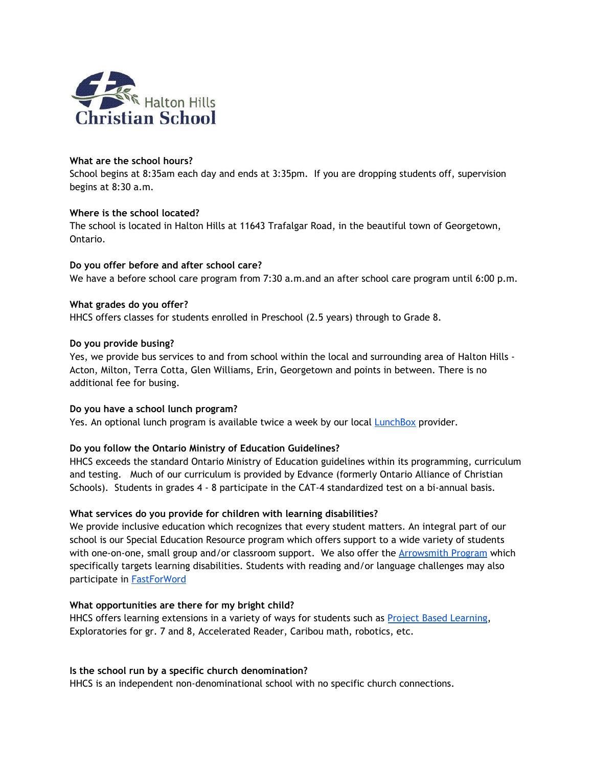

### **What are the school hours?**

School begins at 8:35am each day and ends at 3:35pm. If you are dropping students off, supervision begins at 8:30 a.m.

## **Where is the school located?**

The school is located in Halton Hills at 11643 Trafalgar Road, in the beautiful town of Georgetown, Ontario.

**Do you offer before and after school care?** We have a before school care program from 7:30 a.m.and an after school care program until 6:00 p.m.

### **What grades do you offer?**

HHCS offers classes for students enrolled in Preschool (2.5 years) through to Grade 8.

#### **Do you provide busing?**

Yes, we provide bus services to and from school within the local and surrounding area of Halton Hills -Acton, Milton, Terra Cotta, Glen Williams, Erin, Georgetown and points in between. There is no additional fee for busing.

#### **Do you have a school lunch program?**

Yes. An optional lunch program is available twice a week by our local [LunchBox](http://lunchboxorders.com/) provider*.*

## **Do you follow the Ontario Ministry of Education Guidelines?**

HHCS exceeds the standard Ontario Ministry of Education guidelines within its programming, curriculum and testing. Much of our curriculum is provided by Edvance (formerly Ontario Alliance of Christian Schools). Students in grades 4 - 8 participate in the CAT-4 standardized test on a bi-annual basis.

## **What services do you provide for children with learning disabilities?**

We provide inclusive education which recognizes that every student matters. An integral part of our school is our Special Education Resource program which offers support to a wide variety of students with one-on-one, small group and/or classroom support. We also offer the **[Arrowsmith](https://arrowsmithschool.org/) Program** which specifically targets learning disabilities. Students with reading and/or language challenges may also participate in **[FastForWord](http://www.scilearn.com/products/fast-forword)** 

#### **What opportunities are there for my bright child?**

HHCS offers learning extensions in a variety of ways for students such as Project Based [Learning](https://www.pblworks.org/), Exploratories for gr. 7 and 8, Accelerated Reader, Caribou math, robotics, etc.

#### **Is the school run by a specific church denomination?**

HHCS is an independent non-denominational school with no specific church connections.